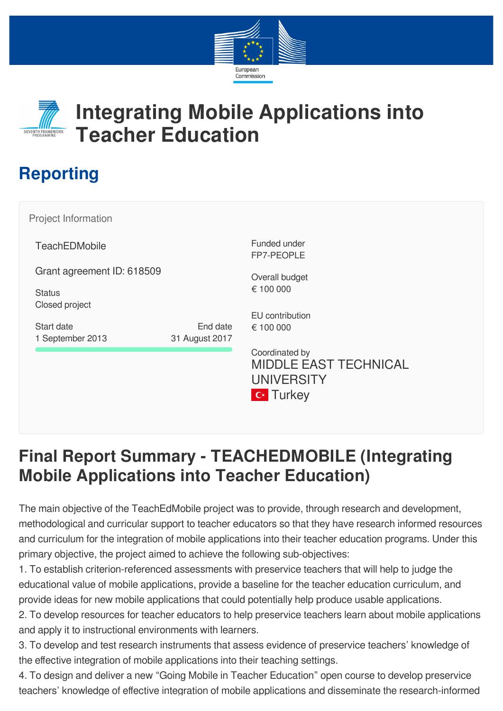



## **Integrating Mobile Applications into Teacher Education**

## **Reporting**

**TeachEDMobile** Grant agreement ID: 618509 **Status** Closed project Funded under FP7-PEOPLE Coordinated by Project Information Start date 1 September 2013 End date 31 August 2017 Overall budget € 100 000 EU contribution € 100 000 MIDDLE EAST TECHNICAL UNIVERSITY

## **Final Report Summary - TEACHEDMOBILE (Integrating Mobile Applications into Teacher Education)**

**C**\* Turkey

The main objective of the TeachEdMobile project was to provide, through research and development, methodological and curricular support to teacher educators so that they have research informed resources and curriculum for the integration of mobile applications into their teacher education programs. Under this primary objective, the project aimed to achieve the following sub-objectives:

1. To establish criterion-referenced assessments with preservice teachers that will help to judge the educational value of mobile applications, provide a baseline for the teacher education curriculum, and provide ideas for new mobile applications that could potentially help produce usable applications.

2. To develop resources for teacher educators to help preservice teachers learn about mobile applications and apply it to instructional environments with learners.

3. To develop and test research instruments that assess evidence of preservice teachers' knowledge of the effective integration of mobile applications into their teaching settings.

4. To design and deliver a new "Going Mobile in Teacher Education" open course to develop preservice teachers' knowledge of effective integration of mobile applications and disseminate the research-informed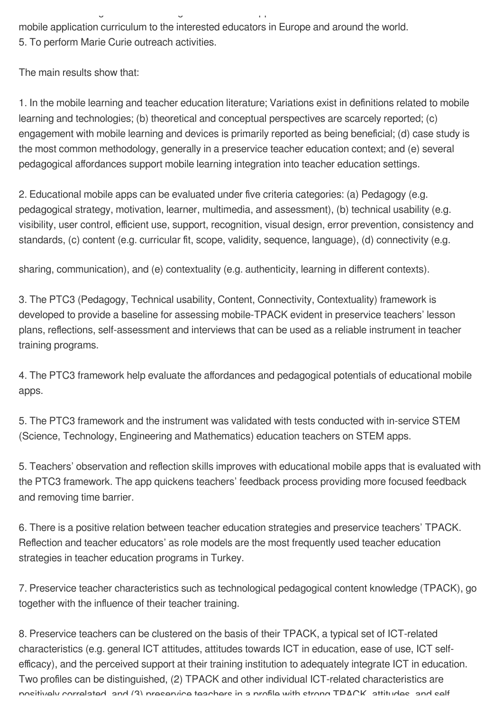mobile application curriculum to the interested educators in Europe and around the world. 5. To perform Marie Curie outreach activities.

 $g = \frac{1}{2}$ 

The main results show that:

1. In the mobile learning and teacher education literature; Variations exist in definitions related to mobile learning and technologies; (b) theoretical and conceptual perspectives are scarcely reported; (c) engagement with mobile learning and devices is primarily reported as being beneficial; (d) case study is the most common methodology, generally in a preservice teacher education context; and (e) several pedagogical affordances support mobile learning integration into teacher education settings.

2. Educational mobile apps can be evaluated under five criteria categories: (a) Pedagogy (e.g. pedagogical strategy, motivation, learner, multimedia, and assessment), (b) technical usability (e.g. visibility, user control, efficient use, support, recognition, visual design, error prevention, consistency and standards, (c) content (e.g. curricular fit, scope, validity, sequence, language), (d) connectivity (e.g.

sharing, communication), and (e) contextuality (e.g. authenticity, learning in different contexts).

3. The PTC3 (Pedagogy, Technical usability, Content, Connectivity, Contextuality) framework is developed to provide a baseline for assessing mobile-TPACK evident in preservice teachers' lesson plans, reflections, self-assessment and interviews that can be used as a reliable instrument in teacher training programs.

4. The PTC3 framework help evaluate the affordances and pedagogical potentials of educational mobile apps.

5. The PTC3 framework and the instrument was validated with tests conducted with in-service STEM (Science, Technology, Engineering and Mathematics) education teachers on STEM apps.

5. Teachers' observation and reflection skills improves with educational mobile apps that is evaluated with the PTC3 framework. The app quickens teachers' feedback process providing more focused feedback and removing time barrier.

6. There is a positive relation between teacher education strategies and preservice teachers' TPACK. Reflection and teacher educators' as role models are the most frequently used teacher education strategies in teacher education programs in Turkey.

7. Preservice teacher characteristics such as technological pedagogical content knowledge (TPACK), go together with the influence of their teacher training.

8. Preservice teachers can be clustered on the basis of their TPACK, a typical set of ICT-related characteristics (e.g. general ICT attitudes, attitudes towards ICT in education, ease of use, ICT selfefficacy), and the perceived support at their training institution to adequately integrate ICT in education. Two profiles can be distinguished, (2) TPACK and other individual ICT-related characteristics are positively correlated and (3) preservice teachers in a profile with strong TPACK attitudes and self